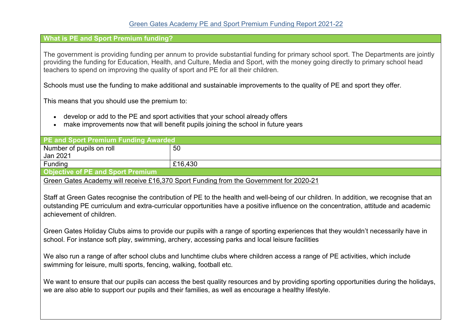## **What is PE and Sport Premium funding?**

The government is providing funding per annum to provide substantial funding for primary school sport. The Departments are jointly providing the funding for Education, Health, and Culture, Media and Sport, with the money going directly to primary school head teachers to spend on improving the quality of sport and PE for all their children.

Schools must use the funding to make additional and sustainable improvements to the quality of PE and sport they offer.

This means that you should use the premium to:

- develop or add to the PE and sport activities that your school already offers
- make improvements now that will benefit pupils joining the school in future years

| <b>PE and Sport Premium Funding Awarded</b> |         |  |
|---------------------------------------------|---------|--|
| Number of pupils on roll                    | 50      |  |
| Jan 2021                                    |         |  |
| Funding                                     | £16,430 |  |
| <b>Ohiactive of DE and Sport Pramium</b>    |         |  |

**Objective of PE and Sport Premium**

Green Gates Academy will receive £16,370 Sport Funding from the Government for 2020-21

Staff at Green Gates recognise the contribution of PE to the health and well-being of our children. In addition, we recognise that an outstanding PE curriculum and extra-curricular opportunities have a positive influence on the concentration, attitude and academic achievement of children.

Green Gates Holiday Clubs aims to provide our pupils with a range of sporting experiences that they wouldn't necessarily have in school. For instance soft play, swimming, archery, accessing parks and local leisure facilities

We also run a range of after school clubs and lunchtime clubs where children access a range of PE activities, which include swimming for leisure, multi sports, fencing, walking, football etc.

We want to ensure that our pupils can access the best quality resources and by providing sporting opportunities during the holidays, we are also able to support our pupils and their families, as well as encourage a healthy lifestyle.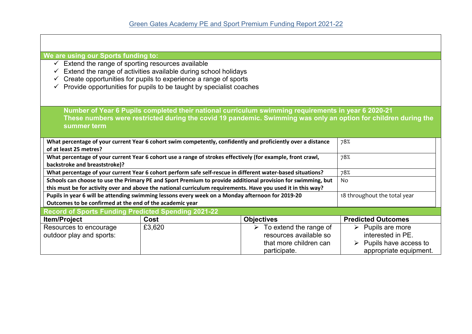| We are using our Sports funding to:                                                                                                    |                                                                                                                 |                                         |                                  |  |  |  |
|----------------------------------------------------------------------------------------------------------------------------------------|-----------------------------------------------------------------------------------------------------------------|-----------------------------------------|----------------------------------|--|--|--|
| $\checkmark$ Extend the range of sporting resources available                                                                          |                                                                                                                 |                                         |                                  |  |  |  |
|                                                                                                                                        | Extend the range of activities available during school holidays                                                 |                                         |                                  |  |  |  |
|                                                                                                                                        | Create opportunities for pupils to experience a range of sports                                                 |                                         |                                  |  |  |  |
|                                                                                                                                        | Provide opportunities for pupils to be taught by specialist coaches                                             |                                         |                                  |  |  |  |
|                                                                                                                                        |                                                                                                                 |                                         |                                  |  |  |  |
|                                                                                                                                        |                                                                                                                 |                                         |                                  |  |  |  |
|                                                                                                                                        | Number of Year 6 Pupils completed their national curriculum swimming requirements in year 6 2020-21             |                                         |                                  |  |  |  |
|                                                                                                                                        | These numbers were restricted during the covid 19 pandemic. Swimming was only an option for children during the |                                         |                                  |  |  |  |
| summer term                                                                                                                            |                                                                                                                 |                                         |                                  |  |  |  |
|                                                                                                                                        |                                                                                                                 |                                         | 78%                              |  |  |  |
| What percentage of your current Year 6 cohort swim competently, confidently and proficiently over a distance<br>of at least 25 metres? |                                                                                                                 |                                         |                                  |  |  |  |
| What percentage of your current Year 6 cohort use a range of strokes effectively (for example, front crawl,                            |                                                                                                                 | 78%                                     |                                  |  |  |  |
| backstroke and breaststroke)?                                                                                                          |                                                                                                                 |                                         |                                  |  |  |  |
| What percentage of your current Year 6 cohort perform safe self-rescue in different water-based situations?                            |                                                                                                                 |                                         | 78%                              |  |  |  |
| Schools can choose to use the Primary PE and Sport Premium to provide additional provision for swimming, but                           |                                                                                                                 | No                                      |                                  |  |  |  |
| this must be for activity over and above the national curriculum requirements. Have you used it in this way?                           |                                                                                                                 |                                         |                                  |  |  |  |
| Pupils in year 6 will be attending swimming lessons every week on a Monday afternoon for 2019-20                                       |                                                                                                                 | 18 throughout the total year            |                                  |  |  |  |
| Outcomes to be confirmed at the end of the academic year                                                                               |                                                                                                                 |                                         |                                  |  |  |  |
| <b>Record of Sports Funding Predicted Spending 2021-22</b>                                                                             |                                                                                                                 |                                         |                                  |  |  |  |
| <b>Item/Project</b>                                                                                                                    | Cost                                                                                                            | <b>Objectives</b>                       | <b>Predicted Outcomes</b>        |  |  |  |
| Resources to encourage                                                                                                                 | £3,620                                                                                                          | $\triangleright$ To extend the range of | $\triangleright$ Pupils are more |  |  |  |
| outdoor play and sports:                                                                                                               |                                                                                                                 | resources available so                  | interested in PE.                |  |  |  |
|                                                                                                                                        |                                                                                                                 | that more children can                  | Pupils have access to            |  |  |  |
|                                                                                                                                        |                                                                                                                 | participate.                            | appropriate equipment.           |  |  |  |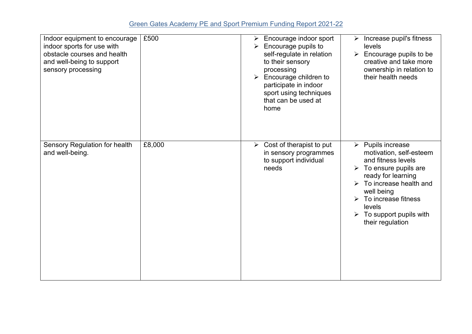## Green Gates Academy PE and Sport Premium Funding Report 2021-22

| Indoor equipment to encourage<br>indoor sports for use with<br>obstacle courses and health<br>and well-being to support<br>sensory processing | £500   | Encourage indoor sport<br>$\blacktriangleright$<br>Encourage pupils to<br>self-regulate in relation<br>to their sensory<br>processing<br>Encourage children to<br>$\blacktriangleright$<br>participate in indoor<br>sport using techniques<br>that can be used at<br>home | $\triangleright$ Increase pupil's fitness<br>levels<br>Encourage pupils to be<br>$\blacktriangleright$<br>creative and take more<br>ownership in relation to<br>their health needs                                                                                                                        |
|-----------------------------------------------------------------------------------------------------------------------------------------------|--------|---------------------------------------------------------------------------------------------------------------------------------------------------------------------------------------------------------------------------------------------------------------------------|-----------------------------------------------------------------------------------------------------------------------------------------------------------------------------------------------------------------------------------------------------------------------------------------------------------|
| Sensory Regulation for health<br>and well-being.                                                                                              | £8,000 | Cost of therapist to put<br>$\blacktriangleright$<br>in sensory programmes<br>to support individual<br>needs                                                                                                                                                              | $\triangleright$ Pupils increase<br>motivation, self-esteem<br>and fitness levels<br>$\triangleright$ To ensure pupils are<br>ready for learning<br>$\triangleright$ To increase health and<br>well being<br>To increase fitness<br>levels<br>$\triangleright$ To support pupils with<br>their regulation |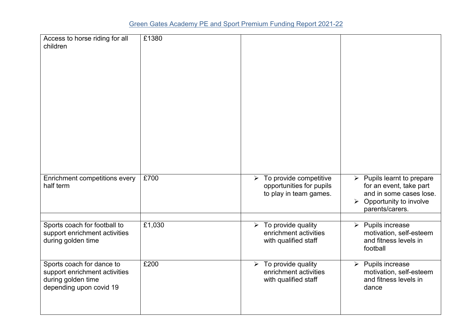| Access to horse riding for all<br>children                                                                  | £1380  |                                                                                                       |                                                                                                                                                               |
|-------------------------------------------------------------------------------------------------------------|--------|-------------------------------------------------------------------------------------------------------|---------------------------------------------------------------------------------------------------------------------------------------------------------------|
| Enrichment competitions every<br>half term                                                                  | £700   | To provide competitive<br>$\blacktriangleright$<br>opportunities for pupils<br>to play in team games. | $\triangleright$ Pupils learnt to prepare<br>for an event, take part<br>and in some cases lose.<br>$\triangleright$ Opportunity to involve<br>parents/carers. |
| Sports coach for football to<br>support enrichment activities<br>during golden time                         | £1,030 | To provide quality<br>$\blacktriangleright$<br>enrichment activities<br>with qualified staff          | $\triangleright$ Pupils increase<br>motivation, self-esteem<br>and fitness levels in<br>football                                                              |
| Sports coach for dance to<br>support enrichment activities<br>during golden time<br>depending upon covid 19 | £200   | To provide quality<br>$\blacktriangleright$<br>enrichment activities<br>with qualified staff          | $\triangleright$ Pupils increase<br>motivation, self-esteem<br>and fitness levels in<br>dance                                                                 |